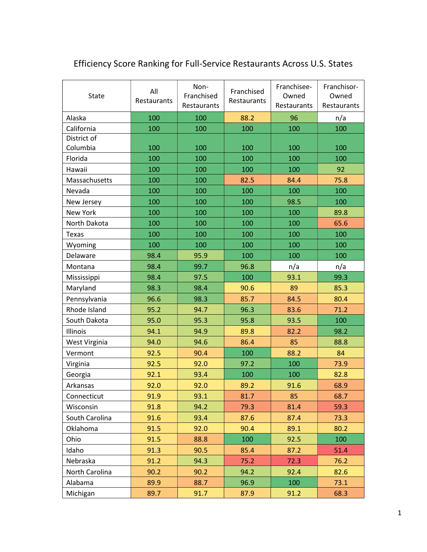| <b>State</b>   | All<br>Restaurants | Non-<br>Franchised<br>Restaurants | Franchised<br>Restaurants | Franchisee-<br>Owned<br>Restaurants | Franchisor-<br>Owned<br>Restaurants |
|----------------|--------------------|-----------------------------------|---------------------------|-------------------------------------|-------------------------------------|
| Alaska         | 100                | 100                               | 88.2                      | 96                                  | n/a                                 |
| California     | 100                | 100                               | 100                       | 100                                 | 100                                 |
| District of    |                    |                                   |                           |                                     |                                     |
| Columbia       | 100                | 100                               | 100                       | 100                                 | 100                                 |
| Florida        | 100                | 100                               | 100                       | 100                                 | 100                                 |
| Hawaii         | 100                | 100                               | 100                       | 100                                 | 92                                  |
| Massachusetts  | 100                | 100                               | 82.5                      | 84.4                                | 75.8                                |
| Nevada         | 100                | 100                               | 100                       | 100                                 | 100                                 |
| New Jersey     | 100                | 100                               | 100                       | 98.5                                | 100                                 |
| New York       | 100                | 100                               | 100                       | 100                                 | 89.8                                |
| North Dakota   | 100                | 100                               | 100                       | 100                                 | 65.6                                |
| <b>Texas</b>   | 100                | 100                               | 100                       | 100                                 | 100                                 |
| Wyoming        | 100                | 100                               | 100                       | 100                                 | 100                                 |
| Delaware       | 98.4               | 95.9                              | 100                       | 100                                 | 100                                 |
| Montana        | 98.4               | 99.7                              | 96.8                      | n/a                                 | n/a                                 |
| Mississippi    | 98.4               | 97.5                              | 100                       | 93.1                                | 99.3                                |
| Maryland       | 98.3               | 98.4                              | 90.6                      | 89                                  | 85.3                                |
| Pennsylvania   | 96.6               | 98.3                              | 85.7                      | 84.5                                | 80.4                                |
| Rhode Island   | 95.2               | 94.7                              | 96.3                      | 83.6                                | 71.2                                |
| South Dakota   | 95.0               | 95.3                              | 95.8                      | 93.5                                | 100                                 |
| Illinois       | 94.1               | 94.9                              | 89.8                      | 82.2                                | 98.2                                |
| West Virginia  | 94.0               | 94.6                              | 86.4                      | 85                                  | 88.8                                |
| Vermont        | 92.5               | 90.4                              | 100                       | 88.2                                | 84                                  |
| Virginia       | 92.5               | 92.0                              | 97.2                      | 100                                 | 73.9                                |
| Georgia        | 92.1               | 93.4                              | 100                       | 100                                 | 82.8                                |
| Arkansas       | 92.0               | 92.0                              | 89.2                      | 91.6                                | 68.9                                |
| Connecticut    | 91.9               | 93.1                              | 81.7                      | 85                                  | 68.7                                |
| Wisconsin      | 91.8               | 94.2                              | 79.3                      | 81.4                                | 59.3                                |
| South Carolina | 91.6               | 93.4                              | 87.6                      | 87.4                                | 73.3                                |
| Oklahoma       | 91.5               | 92.0                              | 90.4                      | 89.1                                | 80.2                                |
| Ohio           | 91.5               | 88.8                              | 100                       | 92.5                                | 100                                 |
| Idaho          | 91.3               | 90.5                              | 85.4                      | 87.2                                | 51.4                                |
| Nebraska       | 91.2               | 94.3                              | 75.2                      | 72.3                                | 76.2                                |
| North Carolina | 90.2               | 90.2                              | 94.2                      | 92.4                                | 82.6                                |
| Alabama        | 89.9               | 88.7                              | 96.9                      | 100                                 | 73.1                                |
| Michigan       | 89.7               | 91.7                              | 87.9                      | 91.2                                | 68.3                                |

## Efficiency Score Ranking for Full-Service Restaurants Across U.S. States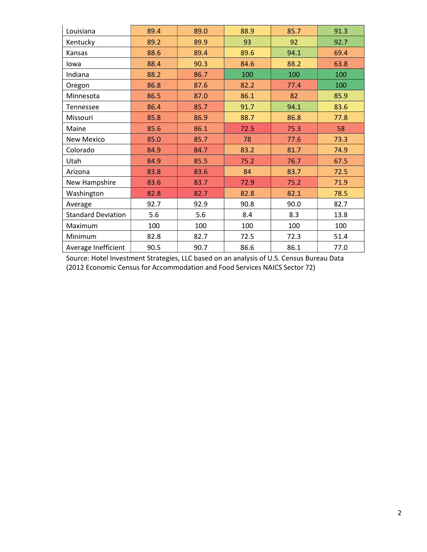| Louisiana                 | 89.4 | 89.0 | 88.9 | 85.7 | 91.3 |
|---------------------------|------|------|------|------|------|
| Kentucky                  | 89.2 | 89.9 | 93   | 92   | 92.7 |
| Kansas                    | 88.6 | 89.4 | 89.6 | 94.1 | 69.4 |
| lowa                      | 88.4 | 90.3 | 84.6 | 88.2 | 63.8 |
| Indiana                   | 88.2 | 86.7 | 100  | 100  | 100  |
| Oregon                    | 86.8 | 87.6 | 82.2 | 77.4 | 100  |
| Minnesota                 | 86.5 | 87.0 | 86.1 | 82   | 85.9 |
| Tennessee                 | 86.4 | 85.7 | 91.7 | 94.1 | 83.6 |
| Missouri                  | 85.8 | 86.9 | 88.7 | 86.8 | 77.8 |
| Maine                     | 85.6 | 86.1 | 72.5 | 75.3 | 58   |
| <b>New Mexico</b>         | 85.0 | 85.7 | 78   | 77.6 | 73.3 |
| Colorado                  | 84.9 | 84.7 | 83.2 | 81.7 | 74.9 |
| Utah                      | 84.9 | 85.5 | 75.2 | 76.7 | 67.5 |
| Arizona                   | 83.8 | 83.6 | 84   | 83.7 | 72.5 |
| New Hampshire             | 83.6 | 83.7 | 72.9 | 75.2 | 71.9 |
| Washington                | 82.8 | 82.7 | 82.8 | 82.1 | 78.5 |
| Average                   | 92.7 | 92.9 | 90.8 | 90.0 | 82.7 |
| <b>Standard Deviation</b> | 5.6  | 5.6  | 8.4  | 8.3  | 13.8 |
| Maximum                   | 100  | 100  | 100  | 100  | 100  |
| Minimum                   | 82.8 | 82.7 | 72.5 | 72.3 | 51.4 |
| Average Inefficient       | 90.5 | 90.7 | 86.6 | 86.1 | 77.0 |

Source: Hotel Investment Strategies, LLC based on an analysis of U.S. Census Bureau Data (2012 Economic Census for Accommodation and Food Services NAICS Sector 72)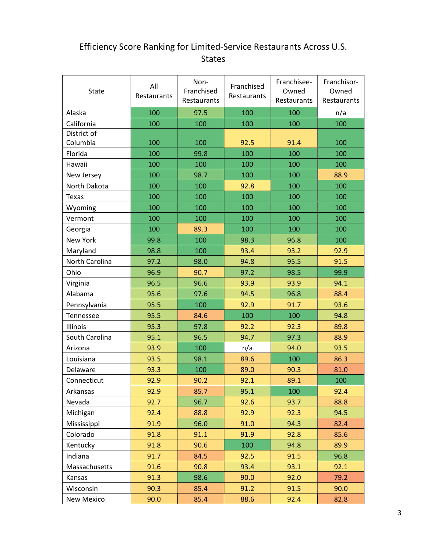## Efficiency Score Ranking for Limited-Service Restaurants Across U.S. States

| State           | All<br>Restaurants | Non-<br>Franchised<br>Restaurants | Franchised<br>Restaurants | Franchisee-<br>Owned<br>Restaurants | Franchisor-<br>Owned<br>Restaurants |
|-----------------|--------------------|-----------------------------------|---------------------------|-------------------------------------|-------------------------------------|
| Alaska          | 100                | 97.5                              | 100                       | 100                                 | n/a                                 |
| California      | 100                | 100                               | 100                       | 100                                 | 100                                 |
| District of     |                    |                                   |                           |                                     |                                     |
| Columbia        | 100                | 100                               | 92.5                      | 91.4                                | 100                                 |
| Florida         | 100                | 99.8                              | 100                       | 100                                 | 100                                 |
| Hawaii          | 100                | 100                               | 100                       | 100                                 | 100                                 |
| New Jersey      | 100                | 98.7                              | 100                       | 100                                 | 88.9                                |
| North Dakota    | 100                | 100                               | 92.8                      | 100                                 | 100                                 |
| <b>Texas</b>    | 100                | 100                               | 100                       | 100                                 | 100                                 |
| Wyoming         | 100                | 100                               | 100                       | 100                                 | 100                                 |
| Vermont         | 100                | 100                               | 100                       | 100                                 | 100                                 |
| Georgia         | 100                | 89.3                              | 100                       | 100                                 | 100                                 |
| <b>New York</b> | 99.8               | 100                               | 98.3                      | 96.8                                | 100                                 |
| Maryland        | 98.8               | 100                               | 93.4                      | 93.2                                | 92.9                                |
| North Carolina  | 97.2               | 98.0                              | 94.8                      | 95.5                                | 91.5                                |
| Ohio            | 96.9               | 90.7                              | 97.2                      | 98.5                                | 99.9                                |
| Virginia        | 96.5               | 96.6                              | 93.9                      | 93.9                                | 94.1                                |
| Alabama         | 95.6               | 97.6                              | 94.5                      | 96.8                                | 88.4                                |
| Pennsylvania    | 95.5               | 100                               | 92.9                      | 91.7                                | 93.6                                |
| Tennessee       | 95.5               | 84.6                              | 100                       | 100                                 | 94.8                                |
| Illinois        | 95.3               | 97.8                              | 92.2                      | 92.3                                | 89.8                                |
| South Carolina  | 95.1               | 96.5                              | 94.7                      | 97.3                                | 88.9                                |
| Arizona         | 93.9               | 100                               | n/a                       | 94.0                                | 93.5                                |
| Louisiana       | 93.5               | 98.1                              | 89.6                      | 100                                 | 86.3                                |
| Delaware        | 93.3               | 100                               | 89.0                      | 90.3                                | 81.0                                |
| Connecticut     | 92.9               | 90.2                              | 92.1                      | 89.1                                | 100                                 |
| Arkansas        | 92.9               | 85.7                              | 95.1                      | 100                                 | 92.4                                |
| Nevada          | 92.7               | 96.7                              | 92.6                      | 93.7                                | 88.8                                |
| Michigan        | 92.4               | 88.8                              | 92.9                      | 92.3                                | 94.5                                |
| Mississippi     | 91.9               | 96.0                              | 91.0                      | 94.3                                | 82.4                                |
| Colorado        | 91.8               | 91.1                              | 91.9                      | 92.8                                | 85.6                                |
| Kentucky        | 91.8               | 90.6                              | 100                       | 94.8                                | 89.9                                |
| Indiana         | 91.7               | 84.5                              | 92.5                      | 91.5                                | 96.8                                |
| Massachusetts   | 91.6               | 90.8                              | 93.4                      | 93.1                                | 92.1                                |
| Kansas          | 91.3               | 98.6                              | 90.0                      | 92.0                                | 79.2                                |
| Wisconsin       | 90.3               | 85.4                              | 91.2                      | 91.5                                | 90.0                                |
| New Mexico      | 90.0               | 85.4                              | 88.6                      | 92.4                                | 82.8                                |